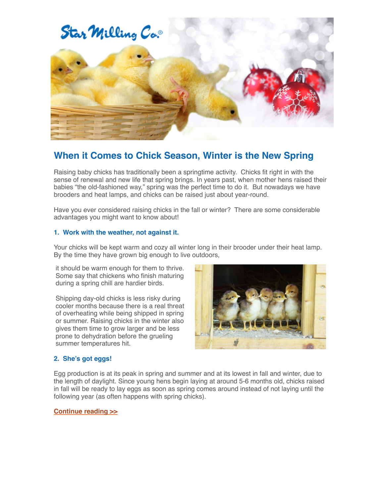

## **When it Comes to Chick Season, Winter is the New Spring**

Raising baby chicks has traditionally been a springtime activity. Chicks fit right in with the sense of renewal and new life that spring brings. In years past, when mother hens raised their babies "the old-fashioned way," spring was the perfect time to do it. But nowadays we have brooders and heat lamps, and chicks can be raised just about year-round.

Have you ever considered raising chicks in the fall or winter? There are some considerable advantages you might want to know about!

### **1. Work with the weather, not against it.**

Your chicks will be kept warm and cozy all winter long in their brooder under their heat lamp. By the time they have grown big enough to live outdoors,

it should be warm enough for them to thrive. Some say that chickens who finish maturing during a spring chill are hardier birds.

Shipping day-old chicks is less risky during cooler months because there is a real threat of overheating while being shipped in spring or summer. Raising chicks in the winter also gives them time to grow larger and be less prone to dehydration before the grueling summer temperatures hit.



### **2. She's got eggs!**

Egg production is at its peak in spring and summer and at its lowest in fall and winter, due to the length of daylight. Since young hens begin laying at around 5-6 months old, chicks raised in fall will be ready to lay eggs as soon as spring comes around instead of not laying until the following year (as often happens with spring chicks).

#### **[Continue reading >>](https://www.starmilling.com/poultry-chick-season.php)**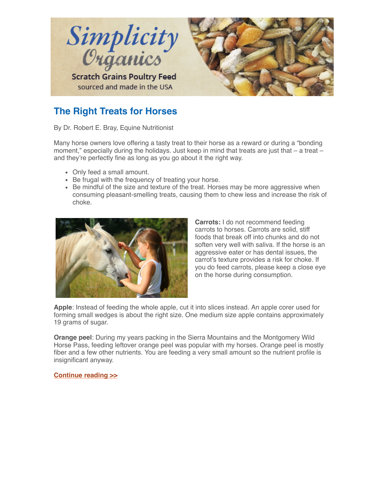

# **The Right Treats for Horses**

By Dr. Robert E. Bray, Equine Nutritionist

Many horse owners love offering a tasty treat to their horse as a reward or during a "bonding moment," especially during the holidays. Just keep in mind that treats are just that  $-$  a treat  $$ and they're perfectly fine as long as you go about it the right way.

- Only feed a small amount.
- Be frugal with the frequency of treating your horse.
- Be mindful of the size and texture of the treat. Horses may be more aggressive when consuming pleasant-smelling treats, causing them to chew less and increase the risk of choke.



**Carrots:** I do not recommend feeding carrots to horses. Carrots are solid, stiff foods that break off into chunks and do not soften very well with saliva. If the horse is an aggressive eater or has dental issues, the carrot's texture provides a risk for choke. If you do feed carrots, please keep a close eye on the horse during consumption.

**Apple**: Instead of feeding the whole apple, cut it into slices instead. An apple corer used for forming small wedges is about the right size. One medium size apple contains approximately 19 grams of sugar.

**Orange peel**: During my years packing in the Sierra Mountains and the Montgomery Wild Horse Pass, feeding leftover orange peel was popular with my horses. Orange peel is mostly fiber and a few other nutrients. You are feeding a very small amount so the nutrient profile is insignificant anyway.

**[Continue reading >>](http://bit.ly/2CyOoM7)**